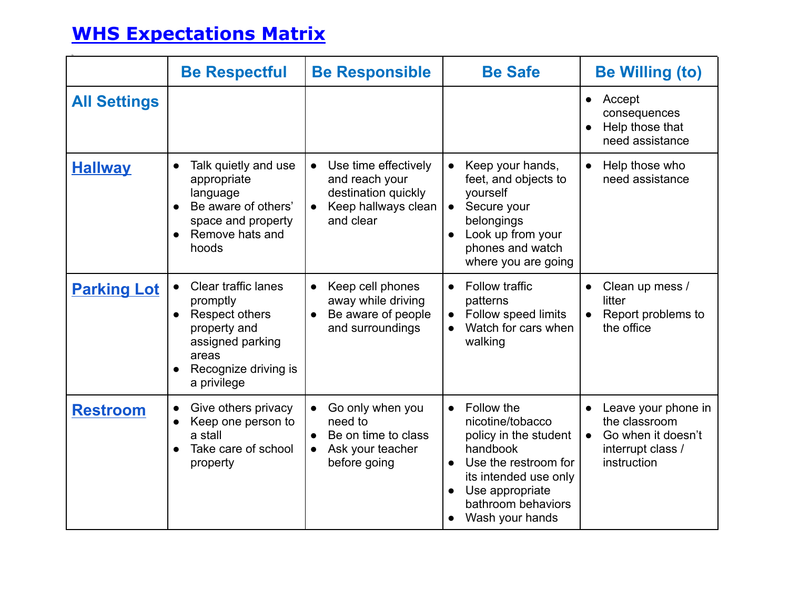## **WHS Expectations Matrix**

|                     | <b>Be Respectful</b>                                                                                                                                                          | <b>Be Responsible</b>                                                                                                       | <b>Be Safe</b>                                                                                                                                                                                             | <b>Be Willing (to)</b>                                                                                      |
|---------------------|-------------------------------------------------------------------------------------------------------------------------------------------------------------------------------|-----------------------------------------------------------------------------------------------------------------------------|------------------------------------------------------------------------------------------------------------------------------------------------------------------------------------------------------------|-------------------------------------------------------------------------------------------------------------|
| <b>All Settings</b> |                                                                                                                                                                               |                                                                                                                             |                                                                                                                                                                                                            | Accept<br>$\bullet$<br>consequences<br>Help those that<br>need assistance                                   |
| <b>Hallway</b>      | Talk quietly and use<br>$\bullet$<br>appropriate<br>language<br>Be aware of others'<br>space and property<br>Remove hats and<br>$\bullet$<br>hoods                            | Use time effectively<br>$\bullet$<br>and reach your<br>destination quickly<br>Keep hallways clean<br>$\bullet$<br>and clear | Keep your hands,<br>$\bullet$<br>feet, and objects to<br>yourself<br>Secure your<br>$\bullet$<br>belongings<br>Look up from your<br>phones and watch<br>where you are going                                | Help those who<br>$\bullet$<br>need assistance                                                              |
| <b>Parking Lot</b>  | <b>Clear traffic lanes</b><br>$\bullet$<br>promptly<br><b>Respect others</b><br>$\bullet$<br>property and<br>assigned parking<br>areas<br>Recognize driving is<br>a privilege | Keep cell phones<br>$\bullet$<br>away while driving<br>Be aware of people<br>$\bullet$<br>and surroundings                  | Follow traffic<br>$\bullet$<br>patterns<br>Follow speed limits<br>Watch for cars when<br>walking                                                                                                           | Clean up mess /<br>litter<br>Report problems to<br>$\bullet$<br>the office                                  |
| <b>Restroom</b>     | Give others privacy<br>$\bullet$<br>Keep one person to<br>$\bullet$<br>a stall<br>Take care of school<br>property                                                             | Go only when you<br>$\bullet$<br>need to<br>Be on time to class<br>Ask your teacher<br>$\bullet$<br>before going            | Follow the<br>$\bullet$<br>nicotine/tobacco<br>policy in the student<br>handbook<br>Use the restroom for<br>$\bullet$<br>its intended use only<br>Use appropriate<br>bathroom behaviors<br>Wash your hands | Leave your phone in<br>the classroom<br>Go when it doesn't<br>$\bullet$<br>interrupt class /<br>instruction |